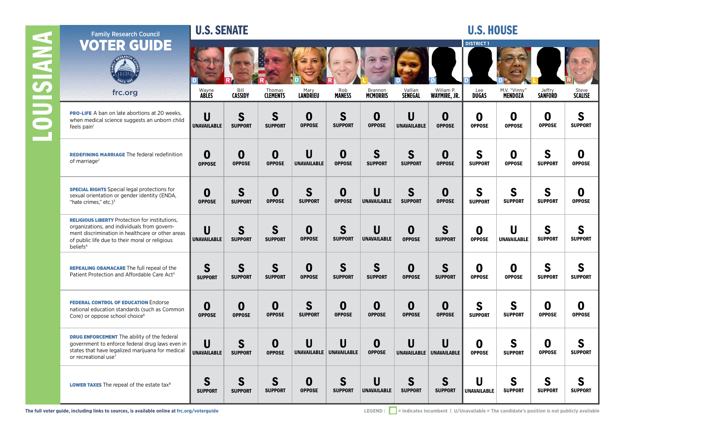|                 | <b>Family Research Council</b>                                                                                                                                                                                                     | <b>U.S. SENATE</b>           |                                |                                   |                               |                                   |                                |                               |                                | <b>U.S. HOUSE</b>       |                                    |                                   |                     |
|-----------------|------------------------------------------------------------------------------------------------------------------------------------------------------------------------------------------------------------------------------------|------------------------------|--------------------------------|-----------------------------------|-------------------------------|-----------------------------------|--------------------------------|-------------------------------|--------------------------------|-------------------------|------------------------------------|-----------------------------------|---------------------|
| <b>ANNISIDO</b> | <b>VOTER GUIDE</b>                                                                                                                                                                                                                 | Wayne                        | Bill                           | Thomas                            |                               |                                   | Brannon                        | Vallian                       | Wiliam P.                      | <b>DISTRICT1</b><br>Lee | M.V. "Vinny'                       | Jeffry                            | Steve               |
|                 | frc.org                                                                                                                                                                                                                            | <b>ABLES</b>                 | <b>CASSIDY</b>                 | <b>CLEMENTS</b>                   | Mary<br>LANDRIEU              | Rob<br><b>MANESS</b>              | <b>MCMORRIS</b>                | <b>SENEGAL</b>                | <b>WAYMIRE, JR.</b>            | <b>DUGAS</b>            | <b>MENDOZÁ</b>                     | <b>SANFORD</b>                    | <b>SCALISE</b>      |
|                 | <b>PRO-LIFE</b> A ban on late abortions at 20 weeks,<br>when medical science suggests an unborn child<br>feels pain <sup>1</sup>                                                                                                   | U<br><b>UNAVAILABLE</b>      | $\mathsf{S}$<br><b>SUPPORT</b> | S<br><b>SUPPORT</b>               | $\bf{0}$<br><b>OPPOSE</b>     | S<br><b>SUPPORT</b>               | 0<br><b>OPPOSE</b>             | U<br><b>UNAVAILABLE</b>       | 0<br><b>OPPOSE</b>             | 0<br><b>OPPOSE</b>      | 0<br><b>OPPOSE</b>                 | 0<br><b>OPPOSE</b>                | S<br><b>SUPPORT</b> |
|                 | <b>REDEFINING MARRIAGE The federal redefinition</b><br>of marriage <sup>2</sup>                                                                                                                                                    | $\bf{0}$<br><b>OPPOSE</b>    | $\bf{0}$<br><b>OPPOSE</b>      | 0<br><b>OPPOSE</b>                | U<br><b>UNAVAILABLE</b>       | $\boldsymbol{0}$<br><b>OPPOSE</b> | $\mathsf{S}$<br><b>SUPPORT</b> | $\mathbf S$<br><b>SUPPORT</b> | 0<br><b>OPPOSE</b>             | S<br><b>SUPPORT</b>     | 0<br><b>OPPOSE</b>                 | S<br><b>SUPPORT</b>               | 0<br><b>OPPOSE</b>  |
|                 | <b>SPECIAL RIGHTS</b> Special legal protections for<br>sexual orientation or gender identity (ENDA,<br>"hate crimes," etc.) $3$                                                                                                    | $\mathbf 0$<br><b>OPPOSE</b> | $\mathbf S$<br><b>SUPPORT</b>  | $\boldsymbol{0}$<br><b>OPPOSE</b> | S<br><b>SUPPORT</b>           | $\mathbf 0$<br><b>OPPOSE</b>      | U<br><b>UNAVAILABLE</b>        | S<br><b>SUPPORT</b>           | 0<br><b>OPPOSE</b>             | S<br><b>SUPPORT</b>     | $\mathbf S$<br><b>SUPPORT</b>      | S<br><b>SUPPORT</b>               | 0<br><b>OPPOSE</b>  |
|                 | <b>RELIGIOUS LIBERTY</b> Protection for institutions.<br>organizations, and individuals from govern-<br>ment discrimination in healthcare or other areas<br>of public life due to their moral or religious<br>beliefs <sup>4</sup> | U<br>UNAVAILABLE             | $\mathsf{S}$<br><b>SUPPORT</b> | $\mathbf S$<br><b>SUPPORT</b>     | $\bf{0}$<br><b>OPPOSE</b>     | S<br><b>SUPPORT</b>               | U<br><b>UNAVAILABLE</b>        | 0<br><b>OPPOSE</b>            | $\mathbf S$<br><b>SUPPORT</b>  | 0<br><b>OPPOSE</b>      | $\mathsf{U}$<br><b>UNAVAILABLE</b> | S<br><b>SUPPORT</b>               | S<br><b>SUPPORT</b> |
|                 | <b>REPEALING OBAMACARE The full repeal of the</b><br>Patient Protection and Affordable Care Act <sup>5</sup>                                                                                                                       | S<br><b>SUPPORT</b>          | $\mathbf S$<br><b>SUPPORT</b>  | S<br><b>SUPPORT</b>               | $\bf{0}$<br><b>OPPOSE</b>     | S<br><b>SUPPORT</b>               | $\mathbf S$<br><b>SUPPORT</b>  | 0<br><b>OPPOSE</b>            | $\mathsf{S}$<br><b>SUPPORT</b> | 0<br><b>OPPOSE</b>      | $\boldsymbol{0}$<br><b>OPPOSE</b>  | S<br><b>SUPPORT</b>               | S<br><b>SUPPORT</b> |
|                 | <b>FEDERAL CONTROL OF EDUCATION Endorse</b><br>national education standards (such as Common<br>Core) or oppose school choice <sup>6</sup>                                                                                          | $\mathbf 0$<br><b>OPPOSE</b> | $\bf{0}$<br><b>OPPOSE</b>      | 0<br><b>OPPOSE</b>                | $\mathbf S$<br><b>SUPPORT</b> | $\boldsymbol{0}$<br><b>OPPOSE</b> | 0<br><b>OPPOSE</b>             | 0<br><b>OPPOSE</b>            | 0<br><b>OPPOSE</b>             | S<br><b>SUPPORT</b>     | S<br><b>SUPPORT</b>                | $\boldsymbol{0}$<br><b>OPPOSE</b> | 0<br><b>OPPOSE</b>  |
|                 | <b>DRUG ENFORCEMENT</b> The ability of the federal<br>government to enforce federal drug laws even in<br>states that have legalized marijuana for medical<br>or recreational use <sup>7</sup>                                      | U<br><b>UNAVAILABLE</b>      | S<br><b>SUPPORT</b>            | 0<br><b>OPPOSE</b>                | U                             | U<br>UNAVAILABLE UNAVAILABLE      | 0<br><b>OPPOSE</b>             | U                             | UNAVAILABLE UNAVAILABLE        | 0<br><b>OPPOSE</b>      | S<br><b>SUPPORT</b>                | $\boldsymbol{0}$<br><b>OPPOSE</b> | S<br><b>SUPPORT</b> |
|                 | <b>LOWER TAXES</b> The repeal of the estate tax <sup>8</sup>                                                                                                                                                                       | S<br><b>SUPPORT</b>          | $\mathbf S$<br><b>SUPPORT</b>  | $\mathsf{S}$<br><b>SUPPORT</b>    | $\bf{0}$<br><b>OPPOSE</b>     | S<br><b>SUPPORT</b>               | U<br><b>UNAVAILABLE</b>        | S<br><b>SUPPORT</b>           | S<br><b>SUPPORT</b>            | U<br><b>UNAVAILABLE</b> | $\mathbf S$<br><b>SUPPORT</b>      | S<br><b>SUPPORT</b>               | S<br><b>SUPPORT</b> |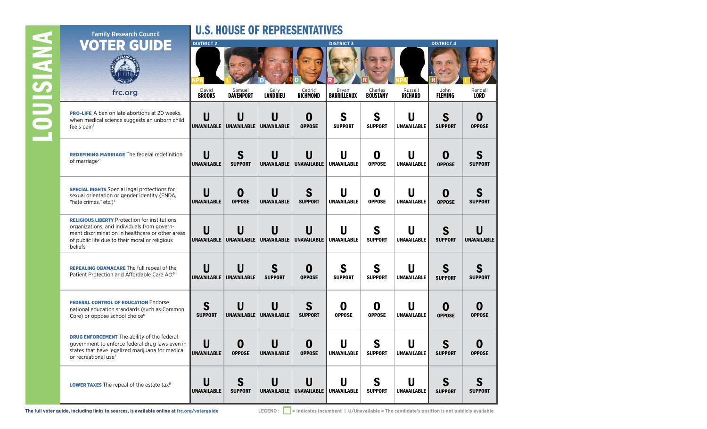| <b>Family Research Council</b>                                                                                                                                                                                                     | <b>U.S. HOUSE OF REPRESENTATIVES</b> |                            |                         |                              |                             |                            |                           |                        |                         |  |
|------------------------------------------------------------------------------------------------------------------------------------------------------------------------------------------------------------------------------------|--------------------------------------|----------------------------|-------------------------|------------------------------|-----------------------------|----------------------------|---------------------------|------------------------|-------------------------|--|
| IER GUI<br>DE                                                                                                                                                                                                                      | <b>DISTRICT 2</b>                    |                            |                         |                              | <b>DISTRICT 3</b>           |                            |                           | <b>DISTRICT 4</b>      |                         |  |
|                                                                                                                                                                                                                                    |                                      |                            |                         |                              |                             |                            |                           |                        |                         |  |
| frc.org                                                                                                                                                                                                                            | David<br><b>BROOKS</b>               | Samuel<br><b>DAVENPORT</b> | Gary<br><b>LANDRIEU</b> | Cedric<br><b>RICHMOND</b>    | Bryan<br><b>BARRILLEAUX</b> | Charles<br><b>BOUSTANY</b> | Russell<br><b>RICHARD</b> | John<br><b>FLEMING</b> | Randall<br><b>LORD</b>  |  |
| <b>PRO-LIFE</b> A ban on late abortions at 20 weeks,<br>when medical science suggests an unborn child<br>feels pain <sup>1</sup>                                                                                                   | U<br><b>UNAVAILABLE</b>              | U<br><b>UNAVAILABLE</b>    | U<br><b>UNAVAILABLE</b> | 0<br><b>OPPOSE</b>           | S<br><b>SUPPORT</b>         | S<br><b>SUPPORT</b>        | U<br><b>UNAVAILABLE</b>   | S<br><b>SUPPORT</b>    | O<br><b>OPPOSE</b>      |  |
| <b>REDEFINING MARRIAGE The federal redefinition</b><br>of marriage <sup>2</sup>                                                                                                                                                    | U<br><b>UNAVAILABLE</b>              | S<br><b>SUPPORT</b>        | U<br><b>UNAVAILABLE</b> | U<br><b>UNAVAILABLE</b>      | U<br><b>UNAVAILABLE</b>     | 0<br><b>OPPOSE</b>         | U<br><b>UNAVAILABLE</b>   | 0<br><b>OPPOSE</b>     | S<br><b>SUPPORT</b>     |  |
| <b>SPECIAL RIGHTS</b> Special legal protections for<br>sexual orientation or gender identity (ENDA,<br>"hate crimes." etc.) $3$                                                                                                    | U<br><b>UNAVAILABLE</b>              | 0<br><b>OPPOSE</b>         | U<br><b>UNAVAILABLE</b> | S<br><b>SUPPORT</b>          | U<br><b>UNAVAILABLE</b>     | 0<br><b>OPPOSE</b>         | U<br><b>UNAVAILABLE</b>   | 0<br><b>OPPOSE</b>     | <b>SUPPORT</b>          |  |
| <b>RELIGIOUS LIBERTY</b> Protection for institutions.<br>organizations, and individuals from govern-<br>ment discrimination in healthcare or other areas<br>of public life due to their moral or religious<br>beliefs <sup>4</sup> | U<br>UNAVAILABLE                     | U<br>UNAVAILABLE           | U<br><b>UNAVAILABLE</b> | U<br><b>UNAVAILABLE</b>      | U<br><b>UNAVAILABLE</b>     | S<br><b>SUPPORT</b>        | U<br><b>UNAVAILABLE</b>   | S<br><b>SUPPORT</b>    | U<br><b>UNAVAILABLE</b> |  |
| <b>REPEALING OBAMACARE The full repeal of the</b><br>Patient Protection and Affordable Care Act <sup>5</sup>                                                                                                                       | U<br><b>UNAVAILABLE</b>              | <b>UNAVAILABLE</b>         | S<br><b>SUPPORT</b>     | 0<br><b>OPPOSE</b>           | S<br><b>SUPPORT</b>         | S<br><b>SUPPORT</b>        | U<br><b>UNAVAILABLE</b>   | S<br><b>SUPPORT</b>    | <b>SUPPORT</b>          |  |
| <b>FEDERAL CONTROL OF EDUCATION Endorse</b><br>national education standards (such as Common<br>Core) or oppose school choice <sup>6</sup>                                                                                          | S<br><b>SUPPORT</b>                  | U<br><b>UNAVAILABLE</b>    | U<br><b>UNAVAILABLE</b> | S<br><b>SUPPORT</b>          | O<br><b>OPPOSE</b>          | O<br><b>OPPOSE</b>         | U<br><b>UNAVAILABLE</b>   | 0<br><b>OPPOSE</b>     | <b>OPPOSE</b>           |  |
| <b>DRUG ENFORCEMENT</b> The ability of the federal<br>government to enforce federal drug laws even in<br>states that have legalized marijuana for medical<br>or recreational use <sup>7</sup>                                      | U<br><b>UNAVAILABLE</b>              | 0<br><b>OPPOSE</b>         | U<br><b>UNAVAILABLE</b> | 0<br><b>OPPOSE</b>           | U<br><b>UNAVAILABLE</b>     | S<br><b>SUPPORT</b>        | U<br><b>UNAVAILABLE</b>   | S<br><b>SUPPORT</b>    | 0<br><b>OPPOSE</b>      |  |
| LOWER TAXES The repeal of the estate tax <sup>8</sup>                                                                                                                                                                              | U<br><b>UNAVAILABLE</b>              | S<br><b>SUPPORT</b>        | U                       | U<br>UNAVAILABLE UNAVAILABLE | U<br>UNAVAILABLE            | S<br><b>SUPPORT</b>        | U<br><b>UNAVAILABLE</b>   | S<br><b>SUPPORT</b>    | S<br><b>SUPPORT</b>     |  |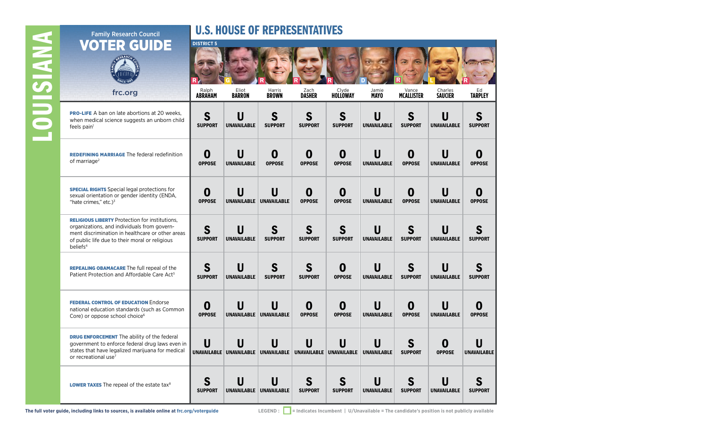# **LOUISIANA** LOUISIANA

### U.S. HOUSE OF REPRESENTATIVES

| IER GUIDE                                                                                                                                                                                                                          | <b>DISTRICT 5</b>       |                                    |                                          |                       |                              |                                               |                            |                           |                         |
|------------------------------------------------------------------------------------------------------------------------------------------------------------------------------------------------------------------------------------|-------------------------|------------------------------------|------------------------------------------|-----------------------|------------------------------|-----------------------------------------------|----------------------------|---------------------------|-------------------------|
|                                                                                                                                                                                                                                    |                         |                                    |                                          |                       |                              |                                               |                            |                           |                         |
| frc.org                                                                                                                                                                                                                            | Ralph<br><b>ABRAHAM</b> | Eliot<br><b>BARRON</b>             | Harris<br><b>BROWN</b>                   | Zach<br><b>DASHER</b> | Clyde<br><b>HOLLOWAY</b>     | Jamie<br><b>MAYO</b>                          | Vance<br><b>MCALLISTER</b> | Charles<br><b>SAUCIER</b> | Ed<br><b>TARPLEY</b>    |
| <b>PRO-LIFE</b> A ban on late abortions at 20 weeks,<br>when medical science suggests an unborn child<br>feels pain <sup>1</sup>                                                                                                   | S<br><b>SUPPORT</b>     | U<br><b>UNAVAILABLE</b>            | S<br><b>SUPPORT</b>                      | S<br><b>SUPPORT</b>   | S<br><b>SUPPORT</b>          | $\overline{\mathsf{U}}$<br><b>UNAVAILABLE</b> | S<br><b>SUPPORT</b>        | U<br><b>UNAVAILABLE</b>   | S<br><b>SUPPORT</b>     |
| <b>REDEFINING MARRIAGE The federal redefinition</b><br>of marriage <sup>2</sup>                                                                                                                                                    | 0<br><b>OPPOSE</b>      | U<br><b>UNAVAILABLE</b>            | 0<br><b>OPPOSE</b>                       | O<br><b>OPPOSE</b>    | 0<br><b>OPPOSE</b>           | U<br><b>UNAVAILABLE</b>                       | 0<br><b>OPPOSE</b>         | U<br><b>UNAVAILABLE</b>   | O<br><b>OPPOSE</b>      |
| <b>SPECIAL RIGHTS</b> Special legal protections for<br>sexual orientation or gender identity (ENDA,<br>"hate crimes," etc.) $3$                                                                                                    | 0<br><b>OPPOSE</b>      | U                                  | U<br>UNAVAILABLE UNAVAILABLE             | 0<br><b>OPPOSE</b>    | 0<br><b>OPPOSE</b>           | U<br><b>UNAVAILABLE</b>                       | 0<br><b>OPPOSE</b>         | U<br><b>UNAVAILABLE</b>   | O<br><b>OPPOSE</b>      |
| <b>RELIGIOUS LIBERTY Protection for institutions,</b><br>organizations, and individuals from govern-<br>ment discrimination in healthcare or other areas<br>of public life due to their moral or religious<br>heliefs <sup>4</sup> | S<br><b>SUPPORT</b>     | U<br><b>UNAVAILABLE</b>            | S<br><b>SUPPORT</b>                      | S<br><b>SUPPORT</b>   | S<br><b>SUPPORT</b>          | U<br><b>UNAVAILABLE</b>                       | S<br><b>SUPPORT</b>        | U<br><b>UNAVAILABLE</b>   | S<br><b>SUPPORT</b>     |
| <b>REPEALING OBAMACARE</b> The full repeal of the<br>Patient Protection and Affordable Care Act <sup>5</sup>                                                                                                                       | S<br><b>SUPPORT</b>     | $\mathsf{U}$<br><b>UNAVAILABLE</b> | S<br><b>SUPPORT</b>                      | S<br><b>SUPPORT</b>   | 0<br><b>OPPOSE</b>           | U<br><b>UNAVAILABLE</b>                       | S<br><b>SUPPORT</b>        | U<br><b>UNAVAILABLE</b>   | S<br><b>SUPPORT</b>     |
| <b>FEDERAL CONTROL OF EDUCATION Endorse</b><br>national education standards (such as Common<br>Core) or oppose school choice <sup>6</sup>                                                                                          | 0<br><b>OPPOSE</b>      | U                                  | U<br>UNAVAILABLE UNAVAILABLE             | O<br><b>OPPOSE</b>    | O<br><b>OPPOSE</b>           | U<br><b>UNAVAILABLE</b>                       | 0<br><b>OPPOSE</b>         | U<br><b>UNAVAILABLE</b>   | O<br><b>OPPOSE</b>      |
| <b>DRUG ENFORCEMENT</b> The ability of the federal<br>government to enforce federal drug laws even in<br>states that have legalized marijuana for medical<br>or recreational use <sup>7</sup>                                      | U                       | U                                  | U<br>UNAVAILABLE UNAVAILABLE UNAVAILABLE | U                     | U<br>UNAVAILABLE UNAVAILABLE | U<br><b>UNAVAILABLE</b>                       | S<br><b>SUPPORT</b>        | O<br><b>OPPOSE</b>        | Ш<br><b>UNAVAILABLE</b> |
| <b>LOWER TAXES</b> The repeal of the estate tax <sup>8</sup>                                                                                                                                                                       | S<br><b>SUPPORT</b>     | U<br>UNAVAILABLE                   | U<br><b>UNAVAILABLE</b>                  | S<br><b>SUPPORT</b>   | S<br><b>SUPPORT</b>          | U<br><b>UNAVAILABLE</b>                       | S<br><b>SUPPORT</b>        | <b>UNAVAILABLE</b>        | <b>SUPPORT</b>          |

Family Research Council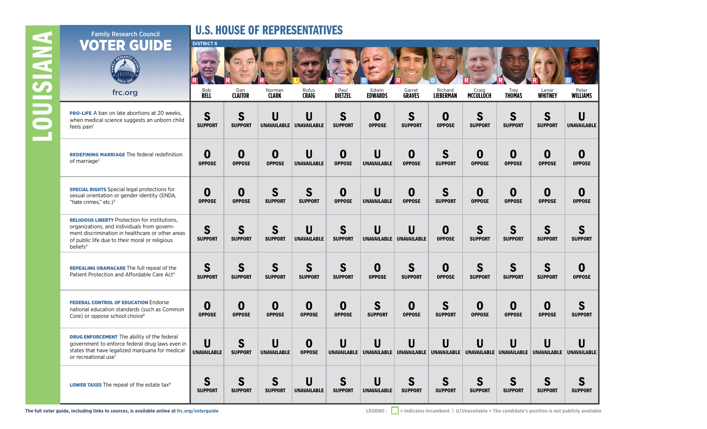# **LOUISIANA** LOUISIANA

## U.S. HOUSE OF REPRESENTATIVES

| <b>VOTER GUIDE</b>                                                                                                                                                                                                                 | <b>DISTRICT 6</b>         |                                   |                               |                                         |                        |                                    |                         |                      |                                                      |                                   |                         |                               |
|------------------------------------------------------------------------------------------------------------------------------------------------------------------------------------------------------------------------------------|---------------------------|-----------------------------------|-------------------------------|-----------------------------------------|------------------------|------------------------------------|-------------------------|----------------------|------------------------------------------------------|-----------------------------------|-------------------------|-------------------------------|
|                                                                                                                                                                                                                                    |                           |                                   |                               |                                         |                        |                                    |                         |                      |                                                      |                                   |                         |                               |
| frc.org                                                                                                                                                                                                                            | <b>Bob</b><br><b>BELL</b> | Dan<br><b>CLAITOR</b>             | Norman<br><b>CLARK</b>        | Rufus<br><b>CRAIG</b>                   | Paul<br><b>DIETZEL</b> | Edwin<br><b>EDWARDS</b>            | Garret<br><b>GRAVES</b> | Richard<br>LIEBERMAN | Craig<br>MCCULLOCH                                   | Trey<br><b>THOMAS</b>             | Lenar<br><b>WHITNEY</b> | Peter<br><b>WILLIAMS</b>      |
| <b>PRO-LIFE</b> A ban on late abortions at 20 weeks,<br>when medical science suggests an unborn child<br>feels pain <sup>1</sup>                                                                                                   | S<br><b>SUPPORT</b>       | S<br><b>SUPPORT</b>               | U                             | $\mathbf{U}$<br>UNAVAILABLE UNAVAILABLE | S<br><b>SUPPORT</b>    | $\boldsymbol{0}$<br><b>OPPOSE</b>  | S<br><b>SUPPORT</b>     | 0<br><b>OPPOSE</b>   | S<br><b>SUPPORT</b>                                  | S<br><b>SUPPORT</b>               | S<br><b>SUPPORT</b>     | U<br><b>UNAVAILABLE</b>       |
| <b>REDEFINING MARRIAGE The federal redefinition</b><br>of marriage <sup>2</sup>                                                                                                                                                    | 0<br><b>OPPOSE</b>        | O<br><b>OPPOSE</b>                | 0<br><b>OPPOSE</b>            | $\mathbf U$<br><b>UNAVAILABLE</b>       | 0<br><b>OPPOSE</b>     | $\mathbf U$<br><b>UNAVAILABLE</b>  | 0<br><b>OPPOSE</b>      | S<br><b>SUPPORT</b>  | 0<br><b>OPPOSE</b>                                   | 0<br><b>OPPOSE</b>                | 0<br><b>OPPOSE</b>      | $\bf{0}$<br><b>OPPOSE</b>     |
| <b>SPECIAL RIGHTS</b> Special legal protections for<br>sexual orientation or gender identity (ENDA,<br>"hate crimes," etc.) $3$                                                                                                    | 0<br><b>OPPOSE</b>        | $\boldsymbol{0}$<br><b>OPPOSE</b> | S<br><b>SUPPORT</b>           | S<br><b>SUPPORT</b>                     | 0<br><b>OPPOSE</b>     | $\mathsf{U}$<br><b>UNAVAILABLE</b> | 0<br><b>OPPOSE</b>      | S<br><b>SUPPORT</b>  | 0<br><b>OPPOSE</b>                                   | $\boldsymbol{0}$<br><b>OPPOSE</b> | 0<br><b>OPPOSE</b>      | $\mathbf 0$<br><b>OPPOSE</b>  |
| <b>RELIGIOUS LIBERTY</b> Protection for institutions,<br>organizations, and individuals from govern-<br>ment discrimination in healthcare or other areas<br>of public life due to their moral or religious<br>beliefs <sup>4</sup> | S<br><b>SUPPORT</b>       | S<br><b>SUPPORT</b>               | S<br><b>SUPPORT</b>           | U<br><b>UNAVAILABLE</b>                 | S<br><b>SUPPORT</b>    | $\mathbf U$<br><b>UNAVAILABLE</b>  | U<br>UNAVAILABLE        | 0<br><b>OPPOSE</b>   | S<br><b>SUPPORT</b>                                  | $\mathbf S$<br><b>SUPPORT</b>     | S<br><b>SUPPORT</b>     | $\mathbf S$<br><b>SUPPORT</b> |
| <b>REPEALING OBAMACARE</b> The full repeal of the<br>Patient Protection and Affordable Care Act <sup>5</sup>                                                                                                                       | S<br><b>SUPPORT</b>       | $\mathbf S$<br><b>SUPPORT</b>     | S<br><b>SUPPORT</b>           | S<br><b>SUPPORT</b>                     | S<br><b>SUPPORT</b>    | $\mathbf 0$<br><b>OPPOSE</b>       | S<br><b>SUPPORT</b>     | 0<br><b>OPPOSE</b>   | S<br><b>SUPPORT</b>                                  | S<br><b>SUPPORT</b>               | S<br><b>SUPPORT</b>     | $\mathbf 0$<br><b>OPPOSE</b>  |
| <b>FEDERAL CONTROL OF EDUCATION Endorse</b><br>national education standards (such as Common<br>Core) or oppose school choice <sup>6</sup>                                                                                          | 0<br><b>OPPOSE</b>        | $\boldsymbol{0}$<br><b>OPPOSE</b> | 0<br><b>OPPOSE</b>            | $\boldsymbol{0}$<br><b>OPPOSE</b>       | 0<br><b>OPPOSE</b>     | S<br><b>SUPPORT</b>                | 0<br><b>OPPOSE</b>      | S<br><b>SUPPORT</b>  | 0<br><b>OPPOSE</b>                                   | 0<br><b>OPPOSE</b>                | 0<br><b>OPPOSE</b>      | S<br><b>SUPPORT</b>           |
| <b>DRUG ENFORCEMENT</b> The ability of the federal<br>government to enforce federal drug laws even in<br>states that have legalized marijuana for medical<br>or recreational use <sup>7</sup>                                      | U<br><b>UNAVAILABLE</b>   | S<br><b>SUPPORT</b>               | U<br><b>UNAVAILABLE</b>       | 0<br><b>OPPOSE</b>                      | U                      | U<br>UNAVAILABLE UNAVAILABLE       | U                       | U                    | U<br>UNAVAILABLE UNAVAILABLE UNAVAILABLE UNAVAILABLE | U                                 | U                       | U<br>UNAVAILABLE UNAVAILABLE  |
| <b>LOWER TAXES</b> The repeal of the estate tax <sup>8</sup>                                                                                                                                                                       | S<br><b>SUPPORT</b>       | S<br><b>SUPPORT</b>               | $\mathbf S$<br><b>SUPPORT</b> | U<br><b>UNAVAILABLE</b>                 | S<br><b>SUPPORT</b>    | U<br><b>UNAVAILABLE</b>            | S<br><b>SUPPORT</b>     | S<br><b>SUPPORT</b>  | S<br><b>SUPPORT</b>                                  | S<br><b>SUPPORT</b>               | S<br><b>SUPPORT</b>     | S<br><b>SUPPORT</b>           |

Family Research Council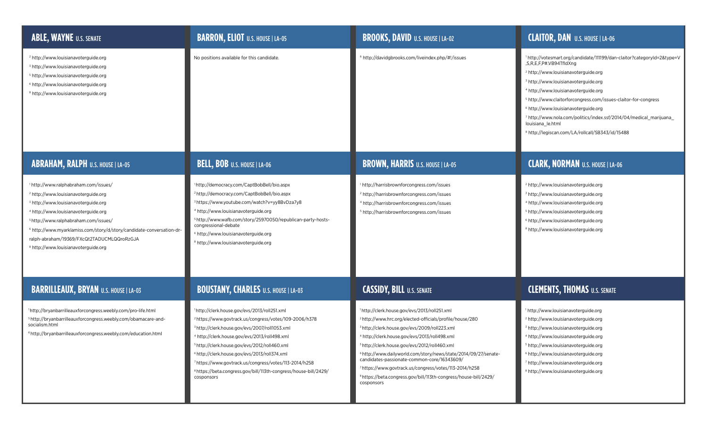| <b>ABLE, WAYNE U.S. SENATE</b>                                                                                                                                                                                                                                                                                                                                                                                    | <b>BARRON, ELIOT</b> U.S. HOUSE   LA-05                                                                                                                                                                                                                                                                                                                                                                                                                                                                       | <b>BROOKS, DAVID</b> U.S. HOUSE   LA-02                                                                                                                                                                                                                                                                                                                                                                                                                                                                                                                                       | <b>CLAITOR, DAN</b> U.S. HOUSE   LA-06                                                                                                                                                                                                                                                                                                                                                                                                                                                                                                      |
|-------------------------------------------------------------------------------------------------------------------------------------------------------------------------------------------------------------------------------------------------------------------------------------------------------------------------------------------------------------------------------------------------------------------|---------------------------------------------------------------------------------------------------------------------------------------------------------------------------------------------------------------------------------------------------------------------------------------------------------------------------------------------------------------------------------------------------------------------------------------------------------------------------------------------------------------|-------------------------------------------------------------------------------------------------------------------------------------------------------------------------------------------------------------------------------------------------------------------------------------------------------------------------------------------------------------------------------------------------------------------------------------------------------------------------------------------------------------------------------------------------------------------------------|---------------------------------------------------------------------------------------------------------------------------------------------------------------------------------------------------------------------------------------------------------------------------------------------------------------------------------------------------------------------------------------------------------------------------------------------------------------------------------------------------------------------------------------------|
| <sup>2</sup> http://www.louisianavoterguide.org<br><sup>3</sup> http://www.louisianavoterguide.org<br><sup>5</sup> http://www.louisianavoterguide.org<br><sup>6</sup> http://www.louisianavoterguide.org<br><sup>8</sup> http://www.louisianavoterguide.org                                                                                                                                                       | No positions available for this candidate.                                                                                                                                                                                                                                                                                                                                                                                                                                                                    | <sup>6</sup> http://davidgbrooks.com/liveindex.php/#!/issues                                                                                                                                                                                                                                                                                                                                                                                                                                                                                                                  | 1 http://votesmart.org/candidate/111199/dan-claitor?categoryId=2&type=V<br>,S,R,E,F,P#.VB94TfldXng<br><sup>2</sup> http://www.louisianavoterguide.org<br><sup>3</sup> http://www.louisianavoterguide.org<br>4 http://www.louisianavoterguide.org<br><sup>5</sup> http://www.claitorforcongress.com/issues-claitor-for-congress<br><sup>6</sup> http://www.louisianavoterguide.org<br>7 http://www.nola.com/politics/index.ssf/2014/04/medical_marijuana<br>louisiana_le.html<br><sup>8</sup> http://legiscan.com/LA/rollcall/SB343/id/15488 |
| <b>ABRAHAM, RALPH U.S. HOUSE LA-05</b>                                                                                                                                                                                                                                                                                                                                                                            | BELL, BOB U.S. HOUSE   LA-06                                                                                                                                                                                                                                                                                                                                                                                                                                                                                  | <b>BROWN, HARRIS</b> U.S. HOUSE   LA-05                                                                                                                                                                                                                                                                                                                                                                                                                                                                                                                                       | <b>CLARK, NORMAN U.S. HOUSE   LA-06</b>                                                                                                                                                                                                                                                                                                                                                                                                                                                                                                     |
| 1 http://www.ralphabraham.com/issues/<br><sup>2</sup> http://www.louisianavoterguide.org<br><sup>3</sup> http://www.louisianavoterguide.org<br>4 http://www.louisianavoterguide.org<br>5 http://www.ralphabraham.com/issues/<br><sup>6</sup> http://www.myarklamiss.com/story/d/story/candidate-conversation-dr-<br>ralph-abraham/19369/FXcQt2TADUCMLQQroRzGJA<br><sup>8</sup> http://www.louisianavoterguide.org | <sup>1</sup> http://democracy.com/CaptBobBell/bio.aspx<br><sup>2</sup> http://democracy.com/CaptBobBell/bio.aspx<br>3 https://www.youtube.com/watch?v=yy8BvDza7y8<br>4 http://www.louisianavoterguide.org<br>5 http://www.wafb.com/story/25970050/republican-party-hosts-<br>congressional-debate<br><sup>6</sup> http://www.louisianavoterguide.org<br><sup>8</sup> http://www.louisianavoterguide.org                                                                                                       | http://harrisbrownforcongress.com/issues<br><sup>2</sup> http://harrisbrownforcongress.com/issues<br>4 http://harrisbrownforcongress.com/issues<br>http://harrisbrownforcongress.com/issues                                                                                                                                                                                                                                                                                                                                                                                   | <sup>2</sup> http://www.louisianavoterguide.org<br><sup>3</sup> http://www.louisianavoterguide.org<br>4 http://www.louisianavoterguide.org<br><sup>5</sup> http://www.louisianavoterguide.org<br><sup>6</sup> http://www.louisianavoterguide.org<br><sup>8</sup> http://www.louisianavoterguide.org                                                                                                                                                                                                                                         |
| <b>BARRILLEAUX, BRYAN U.S. HOUSE   LA-03</b>                                                                                                                                                                                                                                                                                                                                                                      | <b>BOUSTANY, CHARLES U.S. HOUSE   LA-03</b>                                                                                                                                                                                                                                                                                                                                                                                                                                                                   | <b>CASSIDY, BILL U.S. SENATE</b>                                                                                                                                                                                                                                                                                                                                                                                                                                                                                                                                              | <b>CLEMENTS, THOMAS U.S. SENATE</b>                                                                                                                                                                                                                                                                                                                                                                                                                                                                                                         |
| 1http://bryanbarrilleauxforcongress.weebly.com/pro-life.html<br>5 http://bryanbarrilleauxforcongress.weebly.com/obamacare-and-<br>socialism.html<br><sup>6</sup> http://bryanbarrilleauxforcongress.weebly.com/education.html                                                                                                                                                                                     | 1http://clerk.house.gov/evs/2013/roll251.xml<br><sup>2</sup> https://www.govtrack.us/congress/votes/109-2006/h378<br><sup>3</sup> http://clerk.house.gov/evs/2007/roll1053.xml<br>4 http://clerk.house.gov/evs/2013/roll498.xml<br><sup>5</sup> http://clerk.house.gov/evs/2012/roll460.xml<br><sup>6</sup> http://clerk.house.gov/evs/2013/roll374.xml<br>7https://www.govtrack.us/congress/votes/113-2014/h258<br><sup>8</sup> https://beta.congress.gov/bill/113th-congress/house-bill/2429/<br>cosponsors | http://clerk.house.gov/evs/2013/roll251.xml<br><sup>2</sup> http://www.hrc.org/elected-officials/profile/house/280<br><sup>3</sup> http://clerk.house.gov/evs/2009/roll223.xml<br>4 http://clerk.house.gov/evs/2013/roll498.xml<br><sup>5</sup> http://clerk.house.gov/evs/2012/roll460.xml<br><sup>6</sup> http://www.dailyworld.com/story/news/state/2014/09/27/senate-<br>candidates-passionate-common-core/16343609/<br>https://www.govtrack.us/congress/votes/113-2014/h258<br><sup>8</sup> https://beta.congress.gov/bill/113th-congress/house-bill/2429/<br>cosponsors | <sup>1</sup> http://www.louisianavoterguide.org<br><sup>2</sup> http://www.louisianavoterguide.org<br><sup>3</sup> http://www.louisianavoterguide.org<br><sup>4</sup> http://www.louisianavoterguide.org<br><sup>5</sup> http://www.louisianavoterguide.org<br><sup>6</sup> http://www.louisianavoterguide.org<br><sup>7</sup> http://www.louisianavoterguide.org<br><sup>8</sup> http://www.louisianavoterguide.org                                                                                                                        |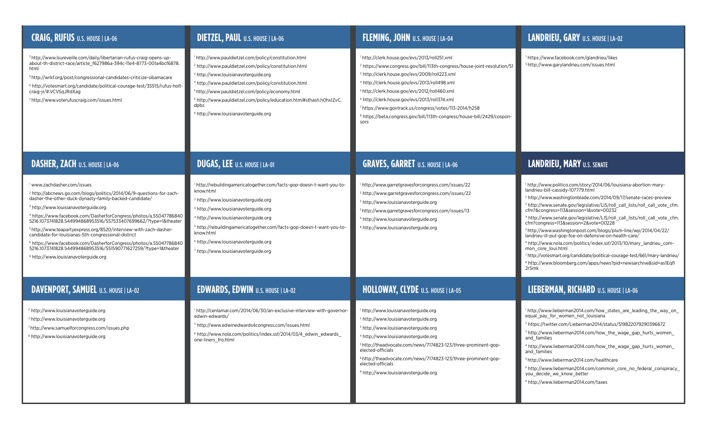| <b>CRAIG, RUFUS U.S. HOUSE   LA-06</b>                                                                                                                                                                                                                                                                                                                                                                                                                                                                                                                                                                                                                                                              | <b>DIETZEL, PAUL U.S. HOUSE   LA-06</b>                                                                                                                                                                                                                                                                                                                                                                                                                      | FLEMING, JOHN U.S. HOUSE   LA-04                                                                                                                                                                                                                                                                                                                                                                                                                                                                             | LANDRIEU, GARY U.S. HOUSE   LA-02                                                                                                                                                                                                                                                                                                                                                                                                                                                                                                                                                                                                                                                                                                                                                                                                                         |
|-----------------------------------------------------------------------------------------------------------------------------------------------------------------------------------------------------------------------------------------------------------------------------------------------------------------------------------------------------------------------------------------------------------------------------------------------------------------------------------------------------------------------------------------------------------------------------------------------------------------------------------------------------------------------------------------------------|--------------------------------------------------------------------------------------------------------------------------------------------------------------------------------------------------------------------------------------------------------------------------------------------------------------------------------------------------------------------------------------------------------------------------------------------------------------|--------------------------------------------------------------------------------------------------------------------------------------------------------------------------------------------------------------------------------------------------------------------------------------------------------------------------------------------------------------------------------------------------------------------------------------------------------------------------------------------------------------|-----------------------------------------------------------------------------------------------------------------------------------------------------------------------------------------------------------------------------------------------------------------------------------------------------------------------------------------------------------------------------------------------------------------------------------------------------------------------------------------------------------------------------------------------------------------------------------------------------------------------------------------------------------------------------------------------------------------------------------------------------------------------------------------------------------------------------------------------------------|
| 3 http://www.lsureveille.com/daily/libertarian-rufus-craig-opens-up-<br>about-th-district-race/article_f627986a-394c-11e4-8773-001a4bcf6878.<br>html<br>http://wrkf.org/post/congressional-candidates-criticize-obamacare=<br><sup>6</sup> http://votesmart.org/candidate/political-courage-test/35515/rufus-holt-<br>craig-jr/#.VCVSqJRdXag<br>http://www.voterufuscraig.com/issues.html                                                                                                                                                                                                                                                                                                           | <sup>1</sup> http://www.pauldietzel.com/policy/constitution.html<br><sup>2</sup> http://www.pauldietzel.com/policy/constitution.html<br><sup>3</sup> http://www.louisianavoterguide.org<br>4 http://www.pauldietzel.com/policy/constitution.html<br><sup>5</sup> http://www.pauldietzel.com/policy/economy.html<br><sup>6</sup> http://www.pauldietzel.com/policy/education.html#sthash.h0hxlZvC.<br>dpbs<br><sup>8</sup> http://www.louisianavoterguide.org | 1 http://clerk.house.gov/evs/2013/roll251.xml<br><sup>2</sup> https://www.congress.gov/bill/113th-congress/house-joint-resolution/51<br><sup>3</sup> http://clerk.house.gov/evs/2009/roll223.xml<br>4 http://clerk.house.gov/evs/2013/roll498.xml<br>5 http://clerk.house.gov/evs/2012/roll460.xml<br><sup>6</sup> http://clerk.house.gov/evs/2013/roll374.xml<br>https://www.govtrack.us/congress/votes/113-2014/h258<br><sup>8</sup> https://beta.congress.gov/bill/113th-congress/house-bill/2429/cospon- | <sup>1</sup> https://www.facebook.com/glandrieu/likes<br><sup>5</sup> http://www.garylandrieu.com/issues.html                                                                                                                                                                                                                                                                                                                                                                                                                                                                                                                                                                                                                                                                                                                                             |
| <b>DASHER, ZACH U.S. HOUSE   LA-06</b>                                                                                                                                                                                                                                                                                                                                                                                                                                                                                                                                                                                                                                                              | <b>DUGAS, LEE U.S. HOUSE   LA-01</b>                                                                                                                                                                                                                                                                                                                                                                                                                         | <b>GRAVES, GARRET U.S. HOUSE   LA-06</b>                                                                                                                                                                                                                                                                                                                                                                                                                                                                     | <b>LANDRIEU, MARY U.S. SENATE</b>                                                                                                                                                                                                                                                                                                                                                                                                                                                                                                                                                                                                                                                                                                                                                                                                                         |
| www.zachdasher.com/issues<br><sup>2</sup> http://abcnews.go.com/blogs/politics/2014/06/9-questions-for-zach-<br>dasher-the-other-duck-dynasty-family-backed-candidate/<br><sup>3</sup> http://www.louisianavoterguide.org<br>4 https://www.facebook.com/DasherforCongress/photos/a.55047786840<br>5216.1073741828.544994868953516/557533407699662/?type=1&theater<br>5 http://www.teapartyexpress.org/8520/interview-with-zach-dasher-<br>candidate-for-louisianas-5th-congressional-district<br><sup>6</sup> https://www.facebook.com/DasherforCongress/photos/a.55047786840<br>5216.1073741828.544994868953516/551590771627259/?type=1&theater<br><sup>8</sup> http://www.louisianavoterguide.org | <sup>1</sup> http://rebuildingamericatogether.com/facts-gop-doesn-t-want-you-to-<br>know.html<br><sup>2</sup> http://www.louisianavoterguide.org<br><sup>3</sup> http://www.louisianavoterguide.org<br>4 http://www.louisianavoterguide.org<br><sup>5</sup> http://rebuildingamericatogether.com/facts-gop-doesn-t-want-you-to-<br>know.html<br><sup>6</sup> http://www.louisianavoterguide.org<br><sup>7</sup> http://www.louisianavoterguide.org           | http://www.garretgravesforcongress.com/issues/22<br><sup>2</sup> http://www.garretgravesforcongress.com/issues/22<br><sup>3</sup> http://www.louisianavoterguide.org<br><sup>5</sup> http://www.garretgravesforcongress.com/issues/13<br><sup>6</sup> http://www.louisianavoterguide.org<br><sup>8</sup> http://www.louisianavoterguide.org                                                                                                                                                                  | 1 http://www.politico.com/story/2014/06/louisiana-abortion-mary-<br>landrieu-bill-cassidy-107779.html<br><sup>2</sup> http://www.washingtonblade.com/2014/09/17/senate-races-preview<br><sup>3</sup> http://www.senate.gov/legislative/LIS/roll_call_lists/roll_call_vote_cfm.<br>cfm?&congress=113&session=1&vote=00232<br>4 http://www.senate.gov/legislative/LIS/roll_call_lists/roll_call_vote_cfm.<br>cfm?congress=113&session=2&vote=00228<br>5 http://www.washingtonpost.com/blogs/plum-line/wp/2014/04/22/<br>landrieu-ill-put-gop-foe-on-defensive-on-health-care/<br><sup>6</sup> http://www.nola.com/politics/index.ssf/2013/10/mary_landrieu_com-<br>mon core loui.html<br>7 http://votesmart.org/candidate/political-courage-test/661/mary-landrieu/<br><sup>8</sup> http://www.bloomberg.com/apps/news?pid=newsarchive&sid=as1Eqfl<br>2r5mk |
| DAVENPORT, SAMUEL U.S. HOUSE   LA-02                                                                                                                                                                                                                                                                                                                                                                                                                                                                                                                                                                                                                                                                | <b>EDWARDS, EDWIN</b> U.S. HOUSE   LA-02                                                                                                                                                                                                                                                                                                                                                                                                                     | HOLLOWAY, CLYDE U.S. HOUSE   LA-05                                                                                                                                                                                                                                                                                                                                                                                                                                                                           | LIEBERMAN, RICHARD U.S. HOUSE   LA-06                                                                                                                                                                                                                                                                                                                                                                                                                                                                                                                                                                                                                                                                                                                                                                                                                     |
| <sup>2</sup> http://www.louisianavoterguide.org<br><sup>3</sup> http://www.louisianavoterguide.org<br>http://www.samuelforcongress.com/issues.php<br><sup>8</sup> http://www.louisianavoterguide.org                                                                                                                                                                                                                                                                                                                                                                                                                                                                                                | 1 http://cenlamar.com/2014/06/30/an-exclusive-interview-with-governor-<br>edwin-edwards/<br><sup>5</sup> http://www.edwinedwards4congress.com/issues.html<br><sup>6</sup> http://www.nola.com/politics/index.ssf/2014/03/4_edwin_edwards_<br>one-liners_fro.html                                                                                                                                                                                             | http://www.louisianavoterguide.org<br><sup>2</sup> http://www.louisianavoterguide.org<br><sup>3</sup> http://www.louisianavoterguide.org<br>http://www.louisianavoterguide.org<br><sup>5</sup> http://theadvocate.com/news/7174823-123/three-prominent-gop-<br>elected-officials<br><sup>6</sup> http://theadvocate.com/news/7174823-123/three-prominent-gop-<br>elected-officials<br><sup>8</sup> http://www.louisianavoterguide.org                                                                        | <sup>1</sup> http://www.lieberman2014.com/how_states_are_leading_the_way_on<br>equal pay for women not louisiana<br><sup>2</sup> https://twitter.com/Lieberman2014/status/519822079290396672<br><sup>3</sup> http://www.lieberman2014.com/how_the_wage_gap_hurts_women_<br>and_families<br>4 http://www.lieberman2014.com/how_the_wage_gap_hurts_women_<br>and families<br><sup>5</sup> http://www.lieberman2014.com/healthcare<br><sup>6</sup> http://www.lieberman2014.com/common_core_no_federal_conspiracy_<br>you decide we know better<br><sup>8</sup> http://www.lieberman2014.com/taxes                                                                                                                                                                                                                                                           |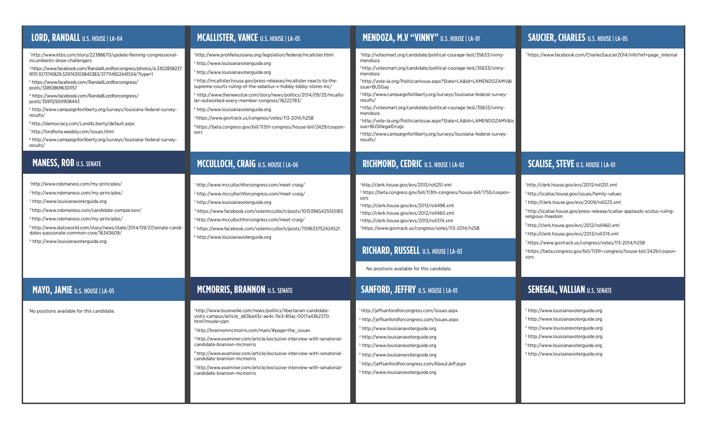| LORD, RANDALL U.S. HOUSE   LA-04                                                                                                                                                                                                                                                                                                                                                                                                                                                                                                                                                                                                                                                                                                     | <b>MCALLISTER, VANCE U.S. HOUSE   LA-05</b>                                                                                                                                                                                                                                                                                                                                                                                                                                                                                                                                                                                                              | MENDOZA, M.V "VINNY" U.S. HOUSE   LA-01                                                                                                                                                                                                                                                                                                                                                                                                                                                                                                                                                                                                                        | <b>SAUCIER, CHARLES U.S. HOUSE   LA-05</b>                                                                                                                                                                                                                                                                                                                                                                                                                                                                                                 |
|--------------------------------------------------------------------------------------------------------------------------------------------------------------------------------------------------------------------------------------------------------------------------------------------------------------------------------------------------------------------------------------------------------------------------------------------------------------------------------------------------------------------------------------------------------------------------------------------------------------------------------------------------------------------------------------------------------------------------------------|----------------------------------------------------------------------------------------------------------------------------------------------------------------------------------------------------------------------------------------------------------------------------------------------------------------------------------------------------------------------------------------------------------------------------------------------------------------------------------------------------------------------------------------------------------------------------------------------------------------------------------------------------------|----------------------------------------------------------------------------------------------------------------------------------------------------------------------------------------------------------------------------------------------------------------------------------------------------------------------------------------------------------------------------------------------------------------------------------------------------------------------------------------------------------------------------------------------------------------------------------------------------------------------------------------------------------------|--------------------------------------------------------------------------------------------------------------------------------------------------------------------------------------------------------------------------------------------------------------------------------------------------------------------------------------------------------------------------------------------------------------------------------------------------------------------------------------------------------------------------------------------|
| 1 http://www.ktbs.com/story/22388670/update-fleming-congressional-<br>incumbents-draw-challengers<br><sup>2</sup> https://www.facebook.com/RandallLordforcongress/photos/a.3302858237<br>91111.1073741829.329743103845383/377114922441534/?type=1<br><sup>3</sup> https://www.facebook.com/RandallLordforcongress/<br>posts/338518696301157<br>4 https://www.facebook.com/RandallLordforcongress/<br>posts/359112500908443<br><sup>5</sup> http://www.campaignforliberty.org/surveys/louisiana-federal-survey-<br>results/<br><sup>6</sup> http://democracy.com/Lord4Liberty/default.aspx<br>http://lordforla.weebly.com/issues.html<br><sup>8</sup> http://www.campaignforliberty.org/surveys/louisiana-federal-survey-<br>results/ | http://www.prolifelouisiana.org/legislation/federal/mcallister.html<br><sup>2</sup> http://www.louisianavoterguide.org<br><sup>3</sup> http://www.louisianavoterguide.org<br>4 http://mcallister.house.gov/press-releases/mcallister-reacts-to-the-<br>supreme-courts-ruling-of-the-sebelius-v-hobby-lobby-stores-inc/<br>http://www.thenewsstar.com/story/news/politics/2014/09/25/mcallis-<br>ter-outworked-every-member-congress/16222783/<br><sup>6</sup> http://www.louisianavoterguide.org<br>7 https://www.govtrack.us/congress/votes/113-2014/h258<br><sup>8</sup> https://beta.congress.gov/bill/113th-congress/house-bill/2429/cospon-<br>sors | 1http://votesmart.org/candidate/political-courage-test/35633/vinny-<br>mendoza<br><sup>2</sup> http://votesmart.org/candidate/political-courage-test/35633/vinny-<br>mendoza<br><sup>3</sup> http://vote-la.org/PoliticianIssue.aspx?State=LA&Id=LAMENDOZAMV&I<br>ssue=BUSGay<br>5http://www.campaignforliberty.org/surveys/louisiana-federal-survey-<br>results/<br><sup>6</sup> http://votesmart.org/candidate/political-courage-test/35633/vinny-<br>mendoza<br>7 http://vote-la.org/PoliticianIssue.aspx?State=LA&Id=LAMENDOZAMV&Is<br>sue=BUSIllegalDrugs<br><sup>8</sup> http://www.campaignforliberty.org/surveys/louisiana-federal-survey-<br>results/ | 7 https://www.facebook.com/CharlesSaucier2014/info?ref=page_internal                                                                                                                                                                                                                                                                                                                                                                                                                                                                       |
| <b>MANESS, ROB U.S. SENATE</b>                                                                                                                                                                                                                                                                                                                                                                                                                                                                                                                                                                                                                                                                                                       | MCCULLOCH, CRAIG U.S. HOUSE   LA-06                                                                                                                                                                                                                                                                                                                                                                                                                                                                                                                                                                                                                      | <b>RICHMOND, CEDRIC</b> U.S. HOUSE   LA-02                                                                                                                                                                                                                                                                                                                                                                                                                                                                                                                                                                                                                     | <b>SCALISE, STEVE U.S. HOUSE   LA-01</b>                                                                                                                                                                                                                                                                                                                                                                                                                                                                                                   |
| http://www.robmaness.com/my-principles/<br><sup>2</sup> http://www.robmaness.com/my-principles/<br><sup>3</sup> http://www.louisianavoterguide.org<br>4 http://www.robmaness.com/candidate-comparison/<br>http://www.robmaness.com/my-principles/<br><sup>6</sup> http://www.dailyworld.com/story/news/state/2014/09/27/senate-candi-<br>dates-passionate-common-core/16343609/<br><sup>8</sup> http://www.louisianavoterguide.org                                                                                                                                                                                                                                                                                                   | http://www.mccullochforcongress.com/meet-craig/<br><sup>2</sup> http://www.mccullochforcongress.com/meet-craig/<br>http://www.louisianavoterguide.org<br>4 https://www.facebook.com/votemcculloch/posts/10153965425510183<br><sup>5</sup> http://www.mccullochforcongress.com/meet-craig/<br><sup>6</sup> https://www.facebook.com/votemcculloch/posts/709633752424521<br><sup>8</sup> http://www.louisianavoterguide.org                                                                                                                                                                                                                                | <sup>1</sup> http://clerk.house.gov/evs/2013/roll251.xml<br><sup>3</sup> https://beta.congress.gov/bill/113th-congress/house-bill/1755/cospon-<br>sors<br>4 http://clerk.house.gov/evs/2013/roll498.xml<br><sup>5</sup> http://clerk.house.gov/evs/2012/roll460.xml<br><sup>6</sup> http://clerk.house.gov/evs/2013/roll374.xml<br>https://www.govtrack.us/congress/votes/113-2014/h258<br>RICHARD, RUSSELL U.S. HOUSE   LA-03<br>No positions available for this candidate.                                                                                                                                                                                   | 1http://clerk.house.gov/evs/2013/roll251.xml<br><sup>2</sup> http://scalise.house.gov/issues/family-values<br>3 http://clerk.house.gov/evs/2009/roll223.xml<br>4 http://scalise.house.gov/press-release/scalise-applauds-scotus-ruling-<br>religious-freedom<br><sup>5</sup> http://clerk.house.gov/evs/2012/roll460.xml<br><sup>6</sup> http://clerk.house.gov/evs/2013/roll374.xml<br>https://www.govtrack.us/congress/votes/113-2014/h258<br><sup>8</sup> https://beta.congress.gov/bill/113th-congress/house-bill/2429/cospon-<br>sors |
| MAYO, JAMIE U.S. HOUSE   LA-05                                                                                                                                                                                                                                                                                                                                                                                                                                                                                                                                                                                                                                                                                                       | <b>MCMORRIS, BRANNON U.S. SENATE</b>                                                                                                                                                                                                                                                                                                                                                                                                                                                                                                                                                                                                                     | <b>SANFORD, JEFFRY U.S. HOUSE   LA-01</b>                                                                                                                                                                                                                                                                                                                                                                                                                                                                                                                                                                                                                      | <b>SENEGAL, VALLIAN U.S. SENATE</b>                                                                                                                                                                                                                                                                                                                                                                                                                                                                                                        |
| No positions available for this candidate.                                                                                                                                                                                                                                                                                                                                                                                                                                                                                                                                                                                                                                                                                           | http://www.lsureveille.com/news/politics/libertarian-candidate-<br>visits-campus/article_d63ba43c-ae4c-11e3-80ac-0017a43b2370.<br>html?mode=jqm<br><sup>2</sup> http://brannonmcmorris.com/main/#page=the_issues<br><sup>5</sup> http://www.examiner.com/article/exclusive-interview-with-senatorial-<br>candidate-brannon-mcmorris<br><sup>6</sup> http://www.examiner.com/article/exclusive-interview-with-senatorial-<br>candidate-brannon-mcmorris<br><sup>7</sup> http://www.examiner.com/article/exclusive-interview-with-senatorial-<br>candidate-brannon-mcmorris                                                                                | 1 http://jeffsanfordforcongress.com/Issues.aspx<br><sup>2</sup> http://jeffsanfordforcongress.com/Issues.aspx<br><sup>3</sup> http://www.louisianavoterguide.org<br>4 http://www.louisianavoterguide.org<br><sup>5</sup> http://www.louisianavoterguide.org<br><sup>6</sup> http://www.louisianavoterguide.org<br>7 http://jeffsanfordforcongress.com/AboutJeff.aspx<br><sup>8</sup> http://www.louisianavoterguide.org                                                                                                                                                                                                                                        | <sup>2</sup> http://www.louisianavoterguide.org<br><sup>3</sup> http://www.louisianavoterguide.org<br>4 http://www.louisianavoterguide.org<br>http://www.louisianavoterguide.org  <br><sup>6</sup> http://www.louisianavoterguide.org<br><sup>8</sup> http://www.louisianavoterguide.org                                                                                                                                                                                                                                                   |